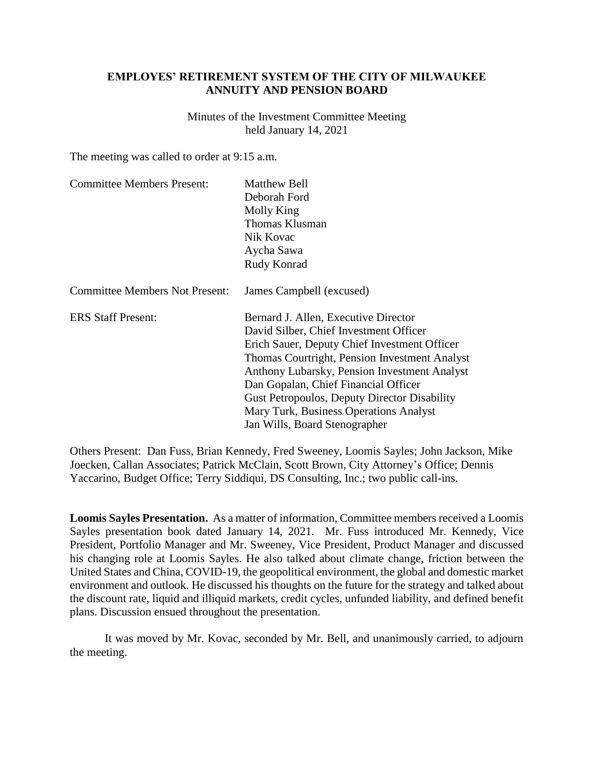## **EMPLOYES' RETIREMENT SYSTEM OF THE CITY OF MILWAUKEE ANNUITY AND PENSION BOARD**

Minutes of the Investment Committee Meeting held January 14, 2021

The meeting was called to order at 9:15 a.m.

| <b>Matthew Bell</b>                                 |
|-----------------------------------------------------|
| Deborah Ford                                        |
| Molly King                                          |
| <b>Thomas Klusman</b>                               |
| Nik Kovac                                           |
| Aycha Sawa                                          |
| Rudy Konrad                                         |
| James Campbell (excused)                            |
| Bernard J. Allen, Executive Director                |
| David Silber, Chief Investment Officer              |
| Erich Sauer, Deputy Chief Investment Officer        |
| Thomas Courtright, Pension Investment Analyst       |
| Anthony Lubarsky, Pension Investment Analyst        |
| Dan Gopalan, Chief Financial Officer                |
| <b>Gust Petropoulos, Deputy Director Disability</b> |
| Mary Turk, Business Operations Analyst              |
| Jan Wills, Board Stenographer                       |
|                                                     |

Others Present: Dan Fuss, Brian Kennedy, Fred Sweeney, Loomis Sayles; John Jackson, Mike Joecken, Callan Associates; Patrick McClain, Scott Brown, City Attorney's Office; Dennis Yaccarino, Budget Office; Terry Siddiqui, DS Consulting, Inc.; two public call-ins.

**Loomis Sayles Presentation.** As a matter of information, Committee members received a Loomis Sayles presentation book dated January 14, 2021. Mr. Fuss introduced Mr. Kennedy, Vice President, Portfolio Manager and Mr. Sweeney, Vice President, Product Manager and discussed his changing role at Loomis Sayles. He also talked about climate change, friction between the United States and China, COVID-19, the geopolitical environment, the global and domestic market environment and outlook. He discussed his thoughts on the future for the strategy and talked about the discount rate, liquid and illiquid markets, credit cycles, unfunded liability, and defined benefit plans. Discussion ensued throughout the presentation.

It was moved by Mr. Kovac, seconded by Mr. Bell, and unanimously carried, to adjourn the meeting.